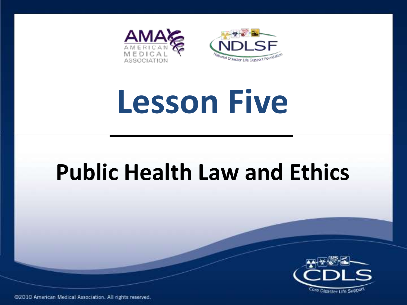

# **Lesson Five**

## **Public Health Law and Ethics**

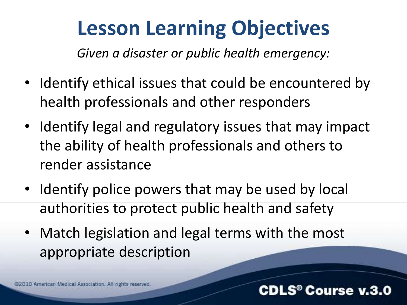## **Lesson Learning Objectives**

*Given a disaster or public health emergency:*

- Identify ethical issues that could be encountered by health professionals and other responders
- Identify legal and regulatory issues that may impact the ability of health professionals and others to render assistance
- Identify police powers that may be used by local authorities to protect public health and safety
- Match legislation and legal terms with the most appropriate description

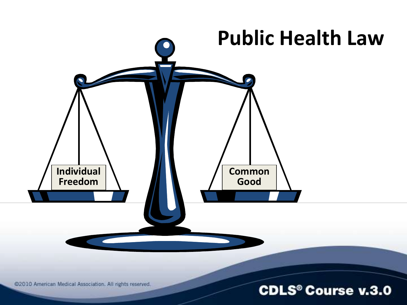

@2010 American Medical Association. All rights reserved.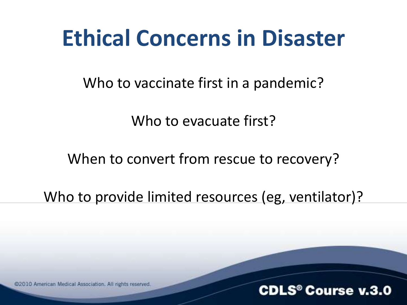## **Ethical Concerns in Disaster**

Who to vaccinate first in a pandemic?

Who to evacuate first?

When to convert from rescue to recovery?

Who to provide limited resources (eg, ventilator)?

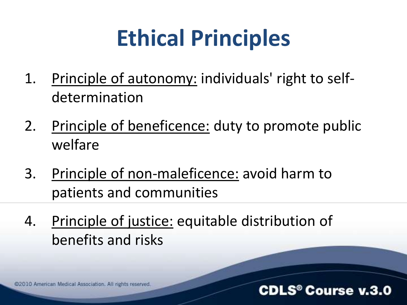## **Ethical Principles**

- 1. Principle of autonomy: individuals' right to selfdetermination
- 2. Principle of beneficence: duty to promote public welfare
- 3. Principle of non-maleficence: avoid harm to patients and communities
- 4. Principle of justice: equitable distribution of benefits and risks

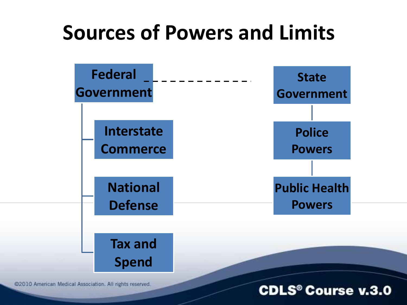## **Sources of Powers and Limits**



@2010 American Medical Association. All rights reserved.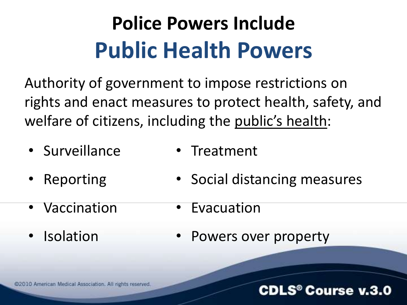## **Police Powers Include Public Health Powers**

Authority of government to impose restrictions on rights and enact measures to protect health, safety, and welfare of citizens, including the public's health:

- Surveillance
- Reporting
- Vaccination
- Isolation
- Treatment
- Social distancing measures
- Evacuation
- Powers over property

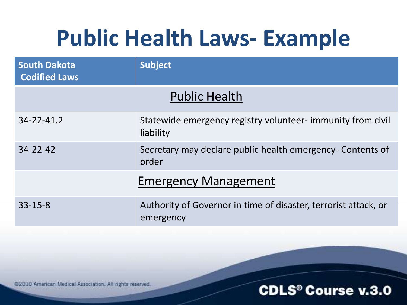## **Public Health Laws- Example**

| <b>South Dakota</b><br><b>Codified Laws</b> | <b>Subject</b>                                                               |
|---------------------------------------------|------------------------------------------------------------------------------|
| <b>Public Health</b>                        |                                                                              |
| 34-22-41.2                                  | Statewide emergency registry volunteer- immunity from civil<br>liability     |
| $34 - 22 - 42$                              | Secretary may declare public health emergency- Contents of<br>order          |
| <b>Emergency Management</b>                 |                                                                              |
| $33 - 15 - 8$                               | Authority of Governor in time of disaster, terrorist attack, or<br>emergency |

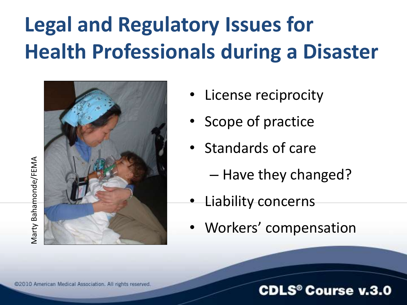## **Legal and Regulatory Issues for Health Professionals during a Disaster**



- License reciprocity
- Scope of practice
- Standards of care
	- Have they changed?
- Liability concerns
- Workers' compensation

### **CDLS<sup>®</sup> Course v.3.0**

Marty Bahamonde/FEMA Marty Bahamonde/FEMA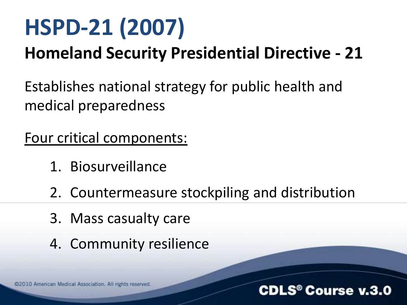## **HSPD-21 (2007)**

### **Homeland Security Presidential Directive - 21**

Establishes national strategy for public health and medical preparedness

Four critical components:

- 1. Biosurveillance
- 2. Countermeasure stockpiling and distribution
- 3. Mass casualty care
- 4. Community resilience

@2010 American Medical Association. All rights reserved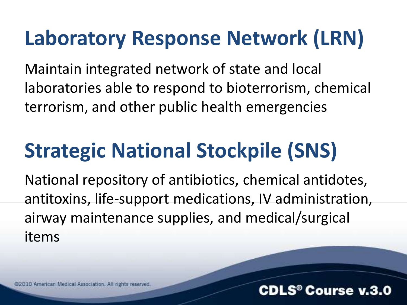## **Laboratory Response Network (LRN)**

Maintain integrated network of state and local laboratories able to respond to bioterrorism, chemical terrorism, and other public health emergencies

## **Strategic National Stockpile (SNS)**

National repository of antibiotics, chemical antidotes, antitoxins, life-support medications, IV administration, airway maintenance supplies, and medical/surgical items

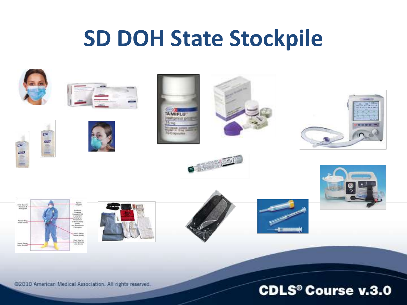## **SD DOH State Stockpile**



@2010 American Medical Association. All rights reserved.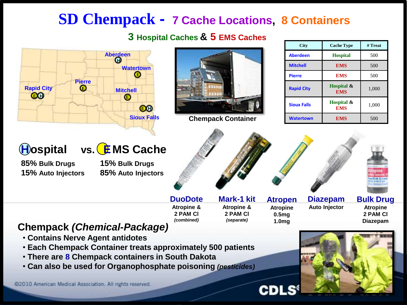### **SD Chempack - 7 Cache Locations, 8 Containers**

### **3 Hospital Caches & 5 EMS Caches**



**Aberdeen Hospital** 500 **Mitchell EMS** 1 500 **Pierre EMS** 1 500 **Rapid City Hospital & EMS**  $1,000$ **Sioux Falls Hospital & EMS** 1,000 **Watertown I EMS** 1 500

**City Cache Type # Treat**

**Atropen**

**Diazepam Auto Injector**

**Bulk Drug Atropine 2 PAM Cl Diazepam**

#### **Chempack** *(Chemical-Package)*

- **Contains Nerve Agent antidotes**
- **Each Chempack Container treats approximately 500 patients**
- **There are 8 Chempack containers in South Dakota**
- **Can also be used for Organophosphate poisoning** *(pesticides)*

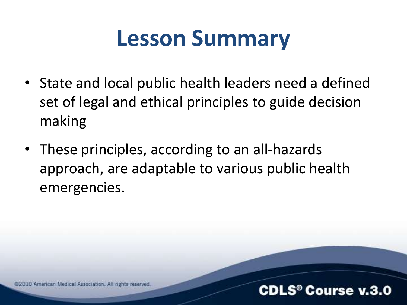## **Lesson Summary**

- State and local public health leaders need a defined set of legal and ethical principles to guide decision making
- These principles, according to an all-hazards approach, are adaptable to various public health emergencies.